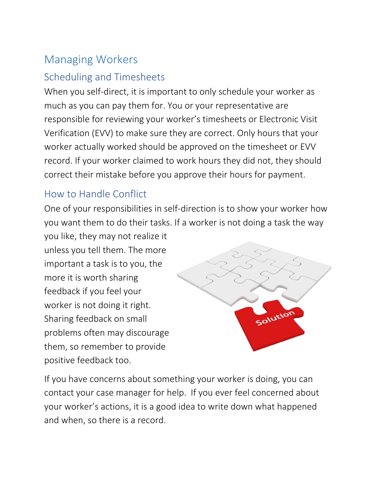# Managing Workers

## Scheduling and Timesheets

When you self-direct, it is important to only schedule your worker as much as you can pay them for. You or your representative are responsible for reviewing your worker's timesheets or Electronic Visit Verification (EVV) to make sure they are correct. Only hours that your worker actually worked should be approved on the timesheet or EVV record. If your worker claimed to work hours they did not, they should correct their mistake before you approve their hours for payment.

#### How to Handle Conflict

One of your responsibilities in self-direction is to show your worker how you want them to do their tasks. If a worker is not doing a task the way

you like, they may not realize it unless you tell them. The more important a task is to you, the more it is worth sharing feedback if you feel your worker is not doing it right. Sharing feedback on small problems often may discourage them, so remember to provide positive feedback too.



If you have concerns about something your worker is doing, you can contact your case manager for help. If you ever feel concerned about your worker's actions, it is a good idea to write down what happened and when, so there is a record.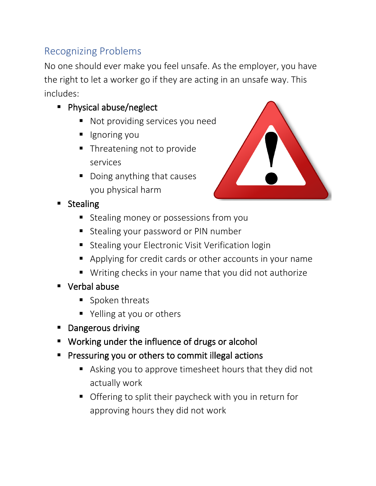# Recognizing Problems

No one should ever make you feel unsafe. As the employer, you have the right to let a worker go if they are acting in an unsafe way. This includes:

- Physical abuse/neglect
	- Not providing services you need
	- Ignoring you
	- Threatening not to provide services
	- Doing anything that causes you physical harm



- **Stealing** 
	- **E** Stealing money or possessions from you
	- Stealing your password or PIN number
	- Stealing your Electronic Visit Verification login
	- Applying for credit cards or other accounts in your name
	- Writing checks in your name that you did not authorize
- **Verbal abuse** 
	- Spoken threats
	- Yelling at you or others
- **Dangerous driving**
- Working under the influence of drugs or alcohol
- Pressuring you or others to commit illegal actions
	- Asking you to approve timesheet hours that they did not actually work
	- Offering to split their paycheck with you in return for approving hours they did not work